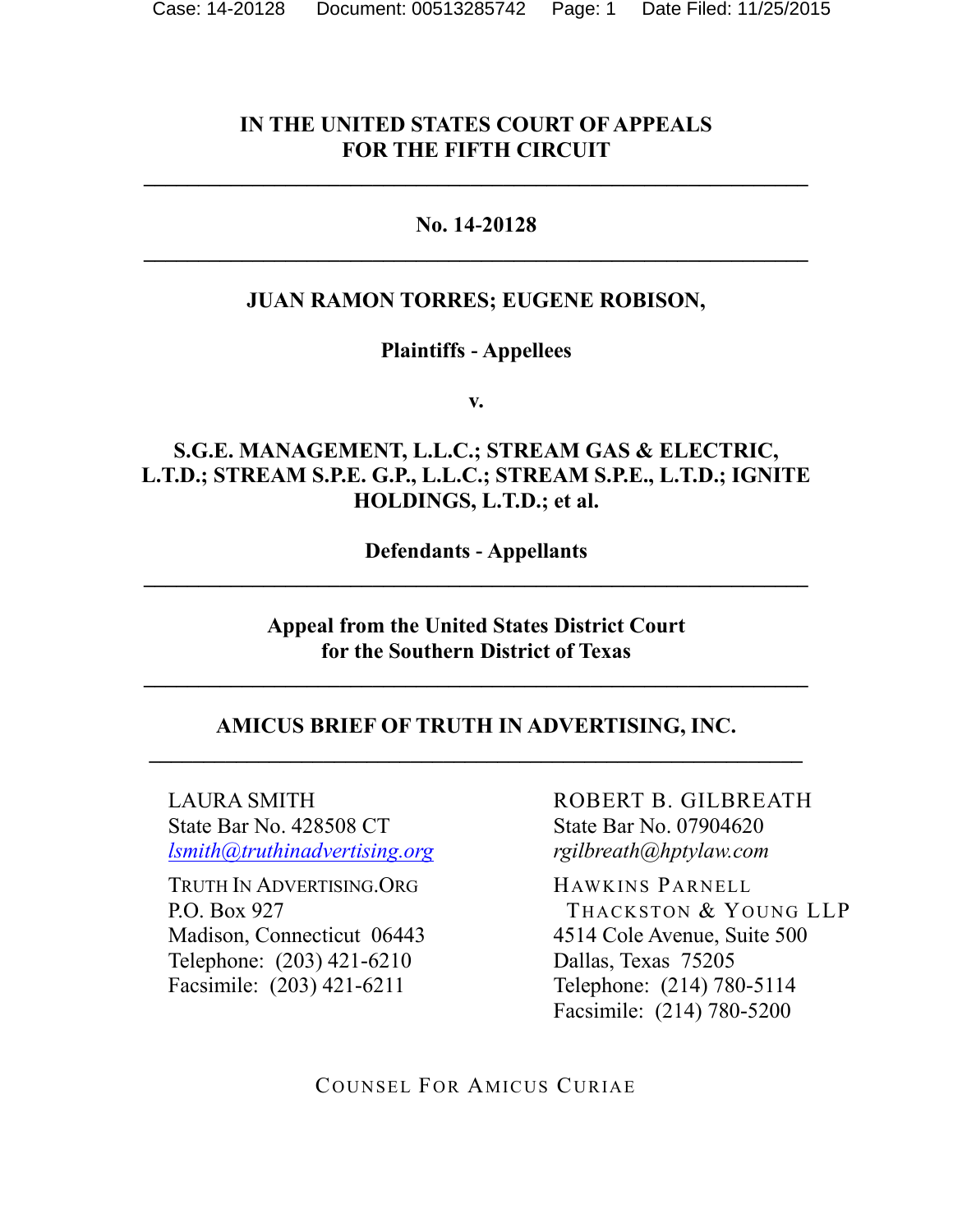### **IN THE UNITED STATES COURT OF APPEALS FOR THE FIFTH CIRCUIT**

**\_\_\_\_\_\_\_\_\_\_\_\_\_\_\_\_\_\_\_\_\_\_\_\_\_\_\_\_\_\_\_\_\_\_\_\_\_\_\_\_\_\_\_\_\_\_\_\_\_\_\_\_\_\_\_\_\_\_\_\_\_**

#### **No. 14-20128**

## **JUAN RAMON TORRES; EUGENE ROBISON,**

#### **Plaintiffs - Appellees**

**v.**

### **S.G.E. MANAGEMENT, L.L.C.; STREAM GAS & ELECTRIC, L.T.D.; STREAM S.P.E. G.P., L.L.C.; STREAM S.P.E., L.T.D.; IGNITE HOLDINGS, L.T.D.; et al.**

**Defendants - Appellants**

**Appeal from the United States District Court for the Southern District of Texas**

#### **AMICUS BRIEF OF TRUTH IN ADVERTISING, INC. \_\_\_\_\_\_\_\_\_\_\_\_\_\_\_\_\_\_\_\_\_\_\_\_\_\_\_\_\_\_\_\_\_\_\_\_\_\_\_\_\_\_\_\_\_\_\_\_\_\_\_\_\_\_\_\_\_\_\_\_**

LAURA SMITH State Bar No. 428508 CT *[lsmith@truthinadvertising.org](mailto:lsmith@truthinadvertising.org)*

TRUTH IN ADVERTISING.ORG P.O. Box 927 Madison, Connecticut 06443 Telephone: (203) 421-6210 Facsimile: (203) 421-6211

ROBERT B. GILBREATH State Bar No. 07904620 *rgilbreath@hptylaw.com*

HAWKINS PARNELL THACKSTON & YOUNG LLP 4514 Cole Avenue, Suite 500 Dallas, Texas 75205 Telephone: (214) 780-5114 Facsimile: (214) 780-5200

COUNSEL FOR AMICUS CURIAE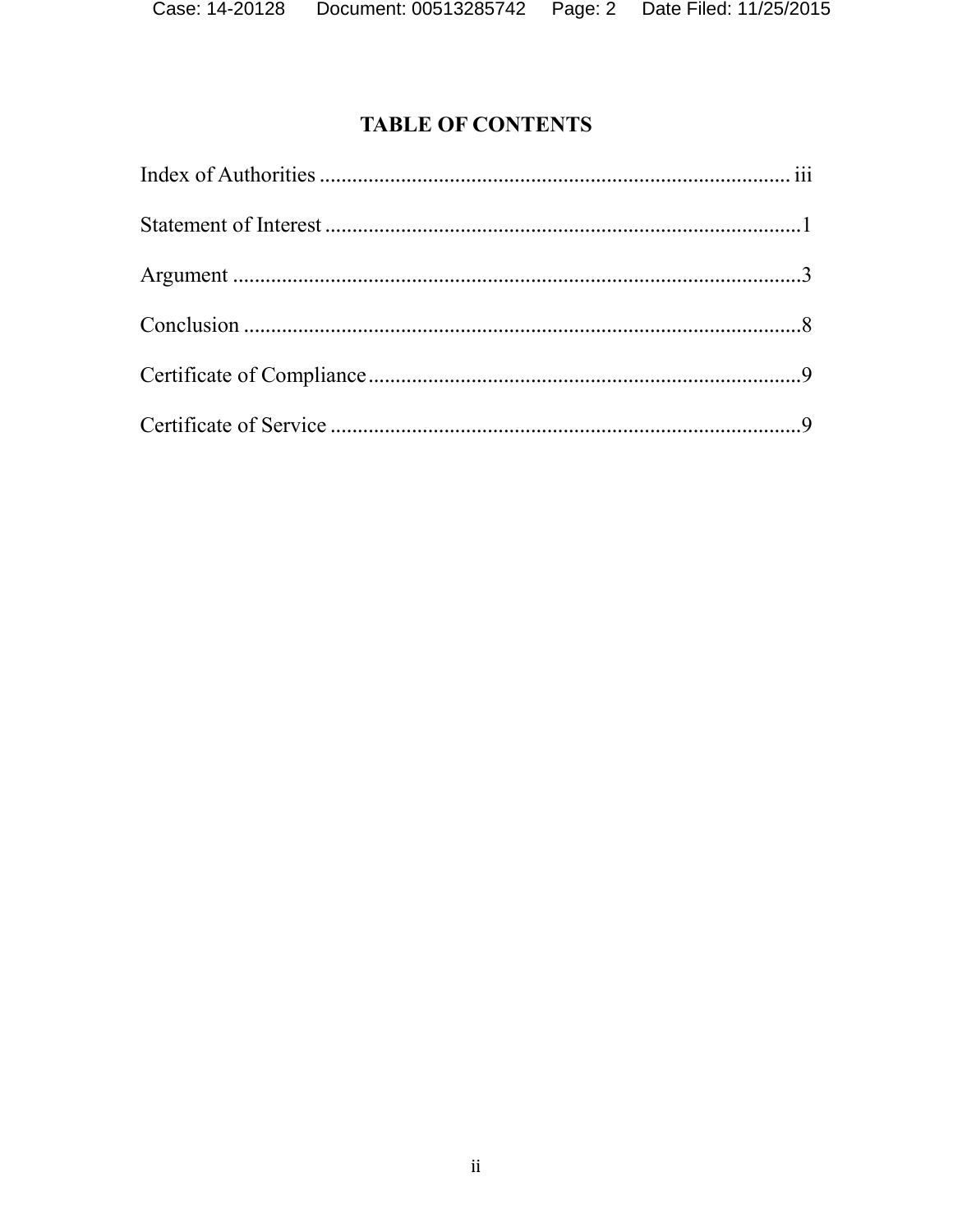# **TABLE OF CONTENTS**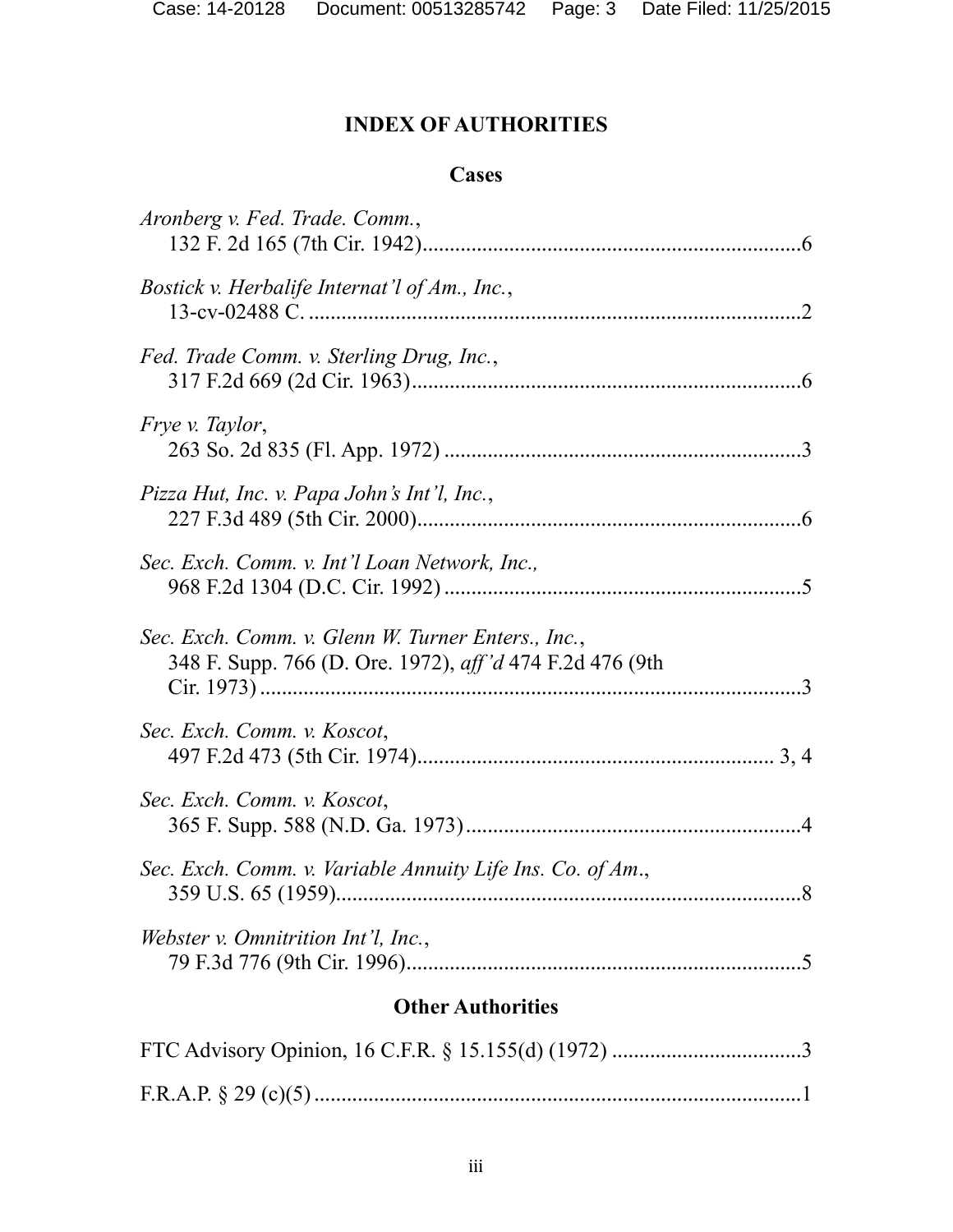# **INDEX OF AUTHORITIES**

#### **Cases**

| Aronberg v. Fed. Trade. Comm.,                                                                                        |  |
|-----------------------------------------------------------------------------------------------------------------------|--|
| <i>Bostick v. Herbalife Internat'l of Am., Inc.,</i>                                                                  |  |
| Fed. Trade Comm. v. Sterling Drug, Inc.,                                                                              |  |
| <i>Fryev. Taylor,</i>                                                                                                 |  |
| Pizza Hut, Inc. v. Papa John's Int'l, Inc.,                                                                           |  |
| Sec. Exch. Comm. v. Int'l Loan Network, Inc.,                                                                         |  |
| Sec. Exch. Comm. v. Glenn W. Turner Enters., Inc.,<br>348 F. Supp. 766 (D. Ore. 1972), <i>aff'd</i> 474 F.2d 476 (9th |  |
| Sec. Exch. Comm. v. Koscot,                                                                                           |  |
| Sec. Exch. Comm. v. Koscot,                                                                                           |  |
| Sec. Exch. Comm. v. Variable Annuity Life Ins. Co. of Am.,                                                            |  |
| <i>Webster v. Omnitrition Int'l, Inc.,</i>                                                                            |  |
| <b>Other Authorities</b>                                                                                              |  |
|                                                                                                                       |  |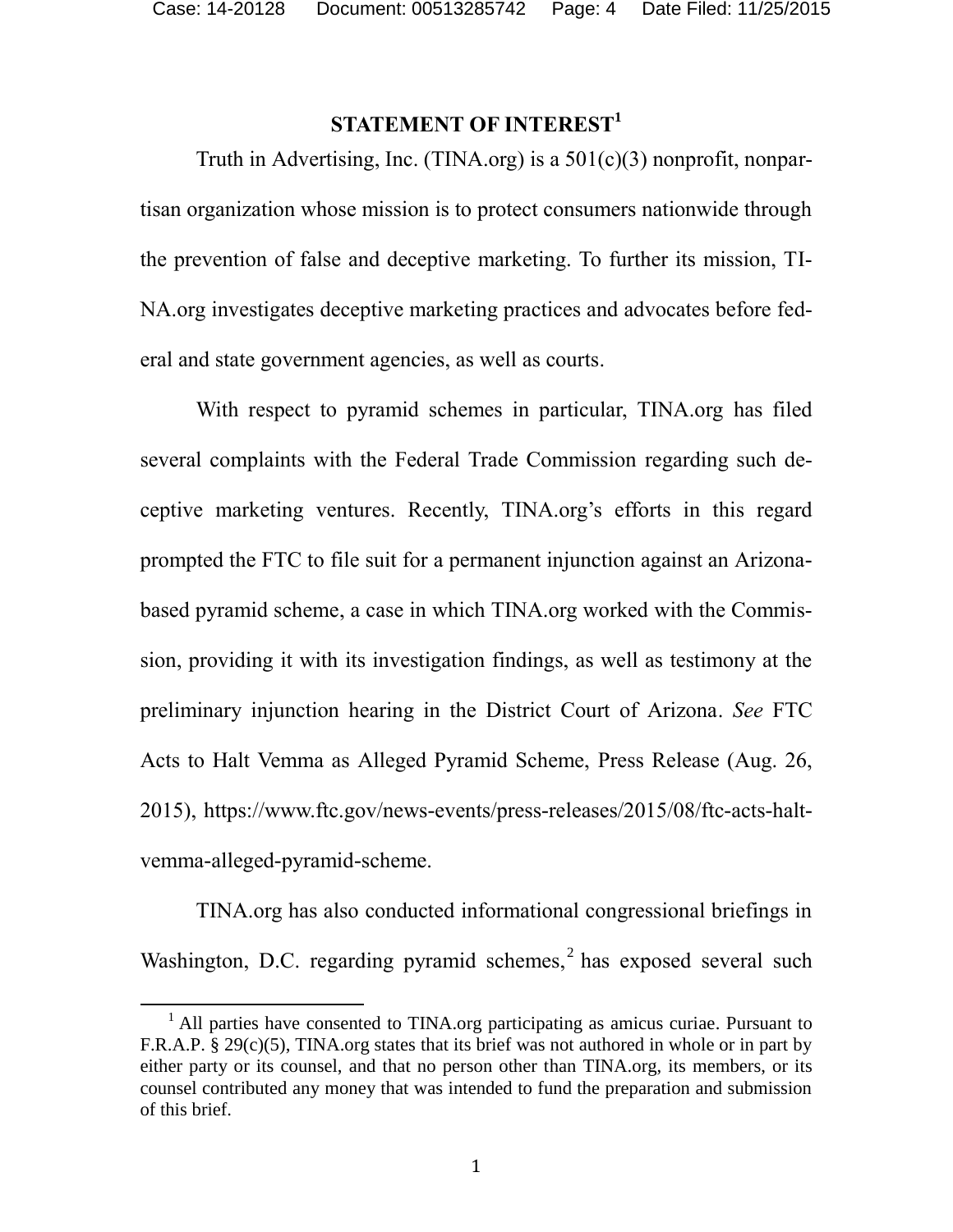### **STATEMENT OF INTEREST<sup>1</sup>**

Truth in Advertising, Inc. (TINA.org) is a  $501(c)(3)$  nonprofit, nonpartisan organization whose mission is to protect consumers nationwide through the prevention of false and deceptive marketing. To further its mission, TI-NA.org investigates deceptive marketing practices and advocates before federal and state government agencies, as well as courts.

With respect to pyramid schemes in particular, TINA.org has filed several complaints with the Federal Trade Commission regarding such deceptive marketing ventures. Recently, TINA.org's efforts in this regard prompted the FTC to file suit for a permanent injunction against an Arizonabased pyramid scheme, a case in which TINA.org worked with the Commission, providing it with its investigation findings, as well as testimony at the preliminary injunction hearing in the District Court of Arizona. *See* FTC Acts to Halt Vemma as Alleged Pyramid Scheme, Press Release (Aug. 26, 2015), [https://www.ftc.gov/news-events/press-releases/2015/08/ftc-acts-halt](https://www.ftc.gov/news-events/press-releases/2015/08/ftc-acts-halt-vemma-alleged-pyramid-scheme)[vemma-alleged-pyramid-scheme.](https://www.ftc.gov/news-events/press-releases/2015/08/ftc-acts-halt-vemma-alleged-pyramid-scheme)

TINA.org has also conducted informational congressional briefings in Washington, D.C. regarding pyramid schemes, $<sup>2</sup>$  has exposed several such</sup>

 $\overline{a}$ 

<sup>&</sup>lt;sup>1</sup> All parties have consented to TINA.org participating as amicus curiae. Pursuant to F.R.A.P. § 29(c)(5), TINA.org states that its brief was not authored in whole or in part by either party or its counsel, and that no person other than TINA.org, its members, or its counsel contributed any money that was intended to fund the preparation and submission of this brief.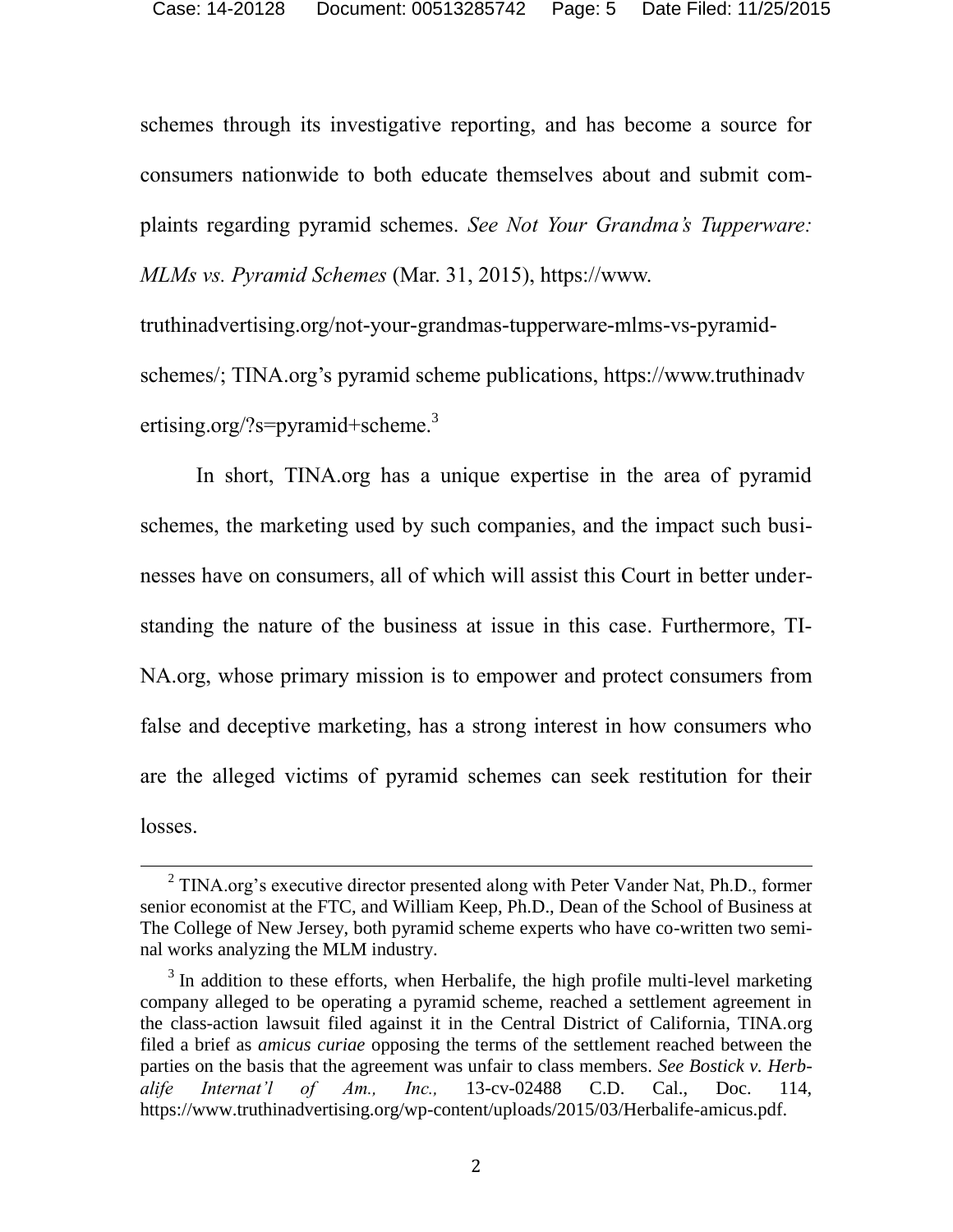schemes through its investigative reporting, and has become a source for consumers nationwide to both educate themselves about and submit complaints regarding pyramid schemes. *See Not Your Grandma's Tupperware: MLMs vs. Pyramid Schemes* (Mar. 31, 2015), https://www.

[truthinadvertising.org/not-your-grandmas-tupperware-mlms-vs-pyramid](https://www.truthinadvertising.org/not-your-grandmas-tupperware-mlms-vs-pyramid-schemes/)[schemes/;](https://www.truthinadvertising.org/not-your-grandmas-tupperware-mlms-vs-pyramid-schemes/) TINA.org's pyramid scheme publications, [https://www.truthinadv](https://www.truthinadv/) ertisin[g.org/?s=pyramid+](https://www.truthinadvertising.org/?s=pyramid)scheme.<sup>3</sup>

In short, TINA.org has a unique expertise in the area of pyramid schemes, the marketing used by such companies, and the impact such businesses have on consumers, all of which will assist this Court in better understanding the nature of the business at issue in this case. Furthermore, TI-NA.org, whose primary mission is to empower and protect consumers from false and deceptive marketing, has a strong interest in how consumers who are the alleged victims of pyramid schemes can seek restitution for their losses.

 $\overline{a}$ 

 $2$  TINA.org's executive director presented along with Peter Vander Nat, Ph.D., former senior economist at the FTC, and William Keep, Ph.D., Dean of the School of Business at The College of New Jersey, both pyramid scheme experts who have co-written two seminal works analyzing the MLM industry.

<span id="page-4-0"></span> $3$  In addition to these efforts, when Herbalife, the high profile multi-level marketing company alleged to be operating a pyramid scheme, reached a settlement agreement in the class-action lawsuit filed against it in the Central District of California, TINA.org filed a brief as *amicus curiae* opposing the terms of the settlement reached between the parties on the basis that the agreement was unfair to class members. *See Bostick v. Herbalife Internat'l of Am., Inc.,* 13-cv-02488 C.D. Cal., Doc. 114, [https://www.truthinadvertising.org/wp-content/uploads/2015/03/Herbalife-amicus.pdf.](https://www.truthinadvertising.org/wp-content/uploads/2015/03/Herbalife-amicus.pdf)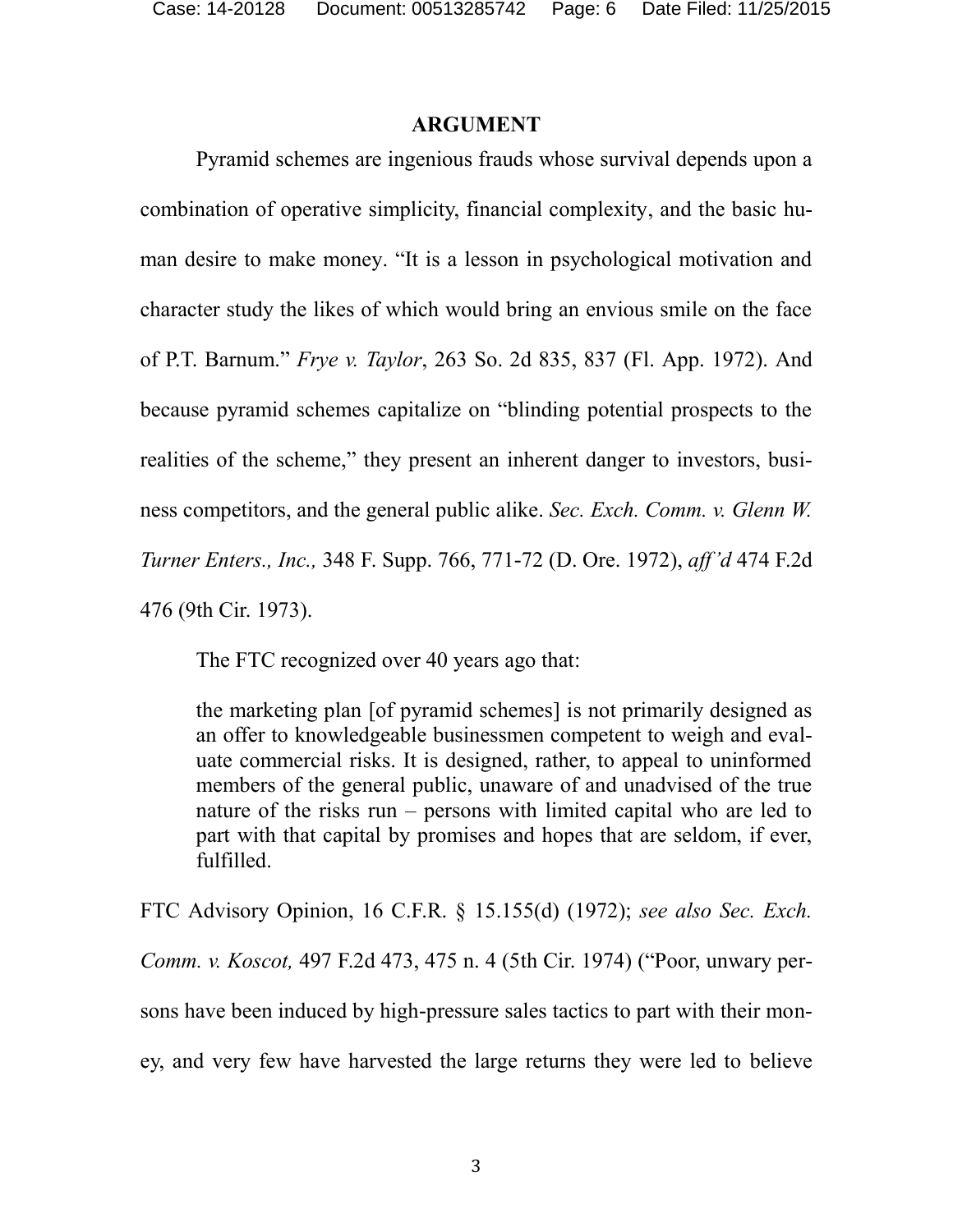#### <span id="page-5-0"></span>**ARGUMENT**

Pyramid schemes are ingenious frauds whose survival depends upon a combination of operative simplicity, financial complexity, and the basic human desire to make money. "It is a lesson in psychological motivation and character study the likes of which would bring an envious smile on the face of P.T. Barnum." *Frye v. Taylor*, 263 So. 2d 835, 837 (Fl. App. 1972). And because pyramid schemes capitalize on "blinding potential prospects to the realities of the scheme," they present an inherent danger to investors, business competitors, and the general public alike. *Sec. Exch. Comm. v. Glenn W. Turner Enters., Inc.,* 348 F. Supp. 766, 771-72 (D. Ore. 1972), *aff'd* 474 F.2d 476 (9th Cir. 1973).

<span id="page-5-1"></span>The FTC recognized over 40 years ago that:

<span id="page-5-2"></span>the marketing plan [of pyramid schemes] is not primarily designed as an offer to knowledgeable businessmen competent to weigh and evaluate commercial risks. It is designed, rather, to appeal to uninformed members of the general public, unaware of and unadvised of the true nature of the risks run – persons with limited capital who are led to part with that capital by promises and hopes that are seldom, if ever, fulfilled.

<span id="page-5-3"></span>FTC Advisory Opinion, 16 C.F.R. § 15.155(d) (1972); *see also Sec. Exch. Comm. v. Koscot,* 497 F.2d 473, 475 n. 4 (5th Cir. 1974) ("Poor, unwary persons have been induced by high-pressure sales tactics to part with their money, and very few have harvested the large returns they were led to believe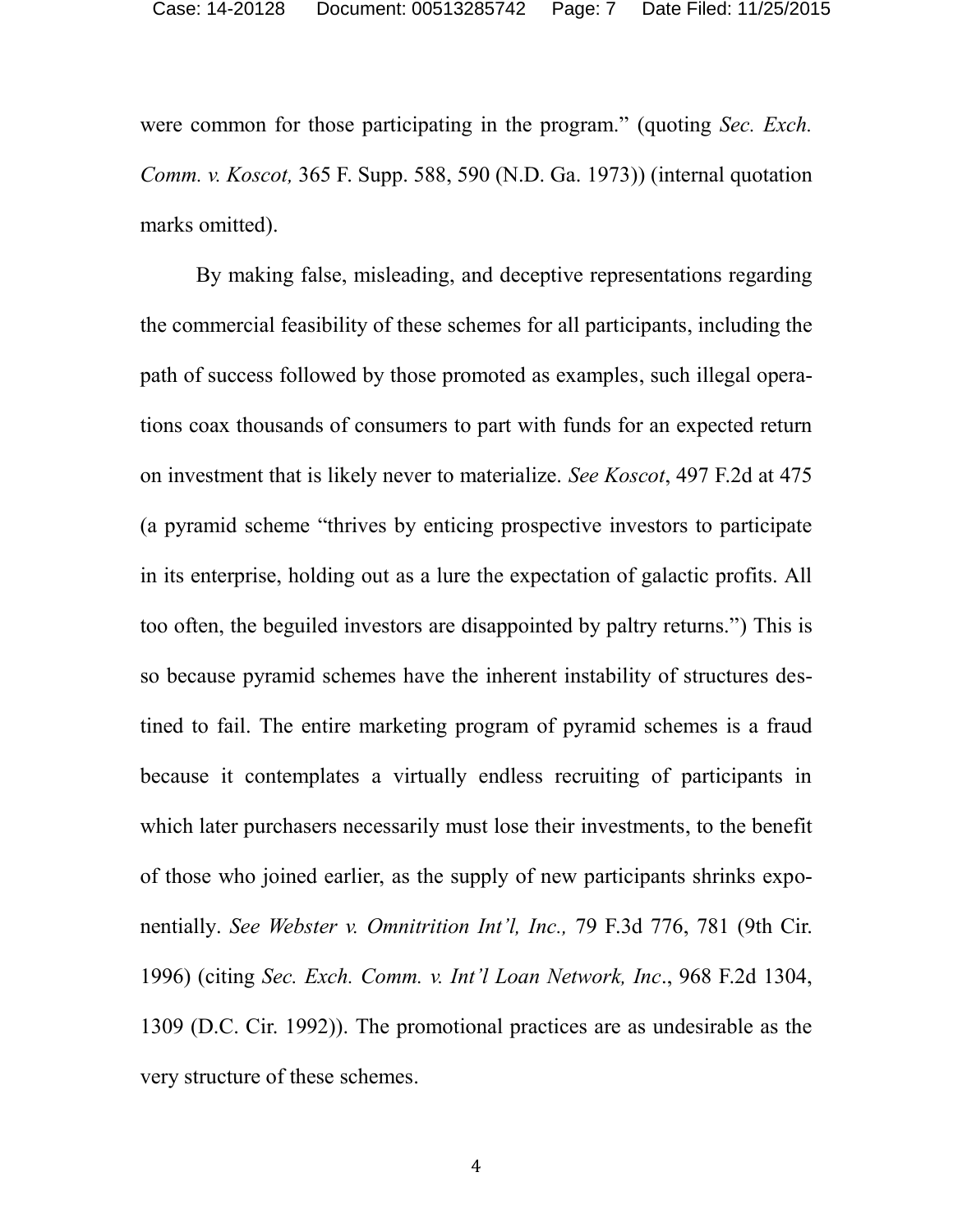were common for those participating in the program." (quoting *Sec. Exch. Comm. v. Koscot,* 365 F. Supp. 588, 590 (N.D. Ga. 1973)) (internal quotation marks omitted).

<span id="page-6-1"></span><span id="page-6-0"></span>By making false, misleading, and deceptive representations regarding the commercial feasibility of these schemes for all participants, including the path of success followed by those promoted as examples, such illegal operations coax thousands of consumers to part with funds for an expected return on investment that is likely never to materialize. *See Koscot*, 497 F.2d at 475 (a pyramid scheme "thrives by enticing prospective investors to participate in its enterprise, holding out as a lure the expectation of galactic profits. All too often, the beguiled investors are disappointed by paltry returns.") This is so because pyramid schemes have the inherent instability of structures destined to fail. The entire marketing program of pyramid schemes is a fraud because it contemplates a virtually endless recruiting of participants in which later purchasers necessarily must lose their investments, to the benefit of those who joined earlier, as the supply of new participants shrinks exponentially. *See Webster v. Omnitrition Int'l, Inc.,* 79 F.3d 776, 781 (9th Cir. 1996) (citing *Sec. Exch. Comm. v. Int'l Loan Network, Inc*., 968 F.2d 1304, 1309 (D.C. Cir. 1992)). The promotional practices are as undesirable as the very structure of these schemes.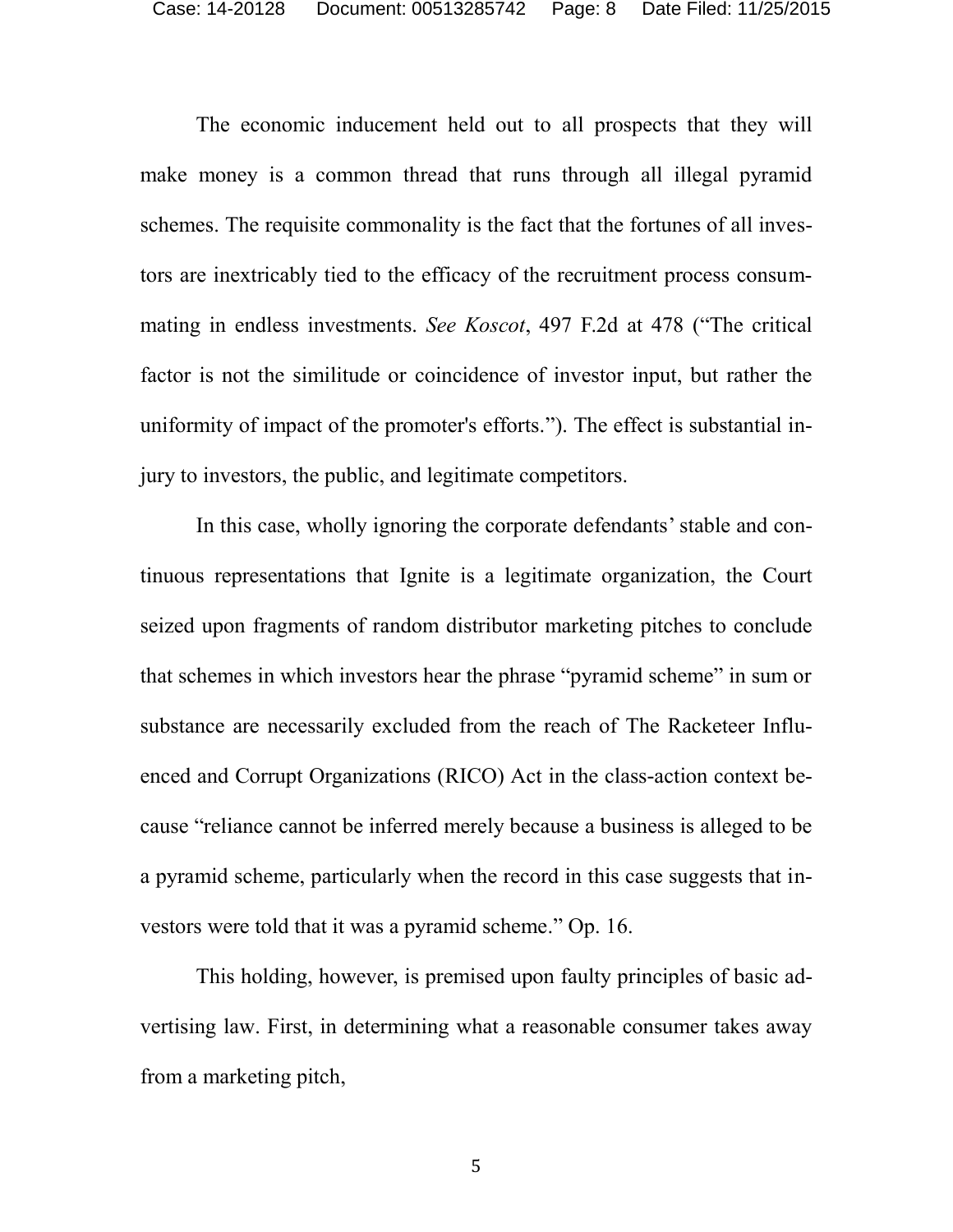The economic inducement held out to all prospects that they will make money is a common thread that runs through all illegal pyramid schemes. The requisite commonality is the fact that the fortunes of all investors are inextricably tied to the efficacy of the recruitment process consummating in endless investments. *See Koscot*, 497 F.2d at 478 ("The critical factor is not the similitude or coincidence of investor input, but rather the uniformity of impact of the promoter's efforts."). The effect is substantial injury to investors, the public, and legitimate competitors.

In this case, wholly ignoring the corporate defendants' stable and continuous representations that Ignite is a legitimate organization, the Court seized upon fragments of random distributor marketing pitches to conclude that schemes in which investors hear the phrase "pyramid scheme" in sum or substance are necessarily excluded from the reach of The Racketeer Influenced and Corrupt Organizations (RICO) Act in the class-action context because "reliance cannot be inferred merely because a business is alleged to be a pyramid scheme, particularly when the record in this case suggests that investors were told that it was a pyramid scheme." Op. 16.

This holding, however, is premised upon faulty principles of basic advertising law. First, in determining what a reasonable consumer takes away from a marketing pitch,

5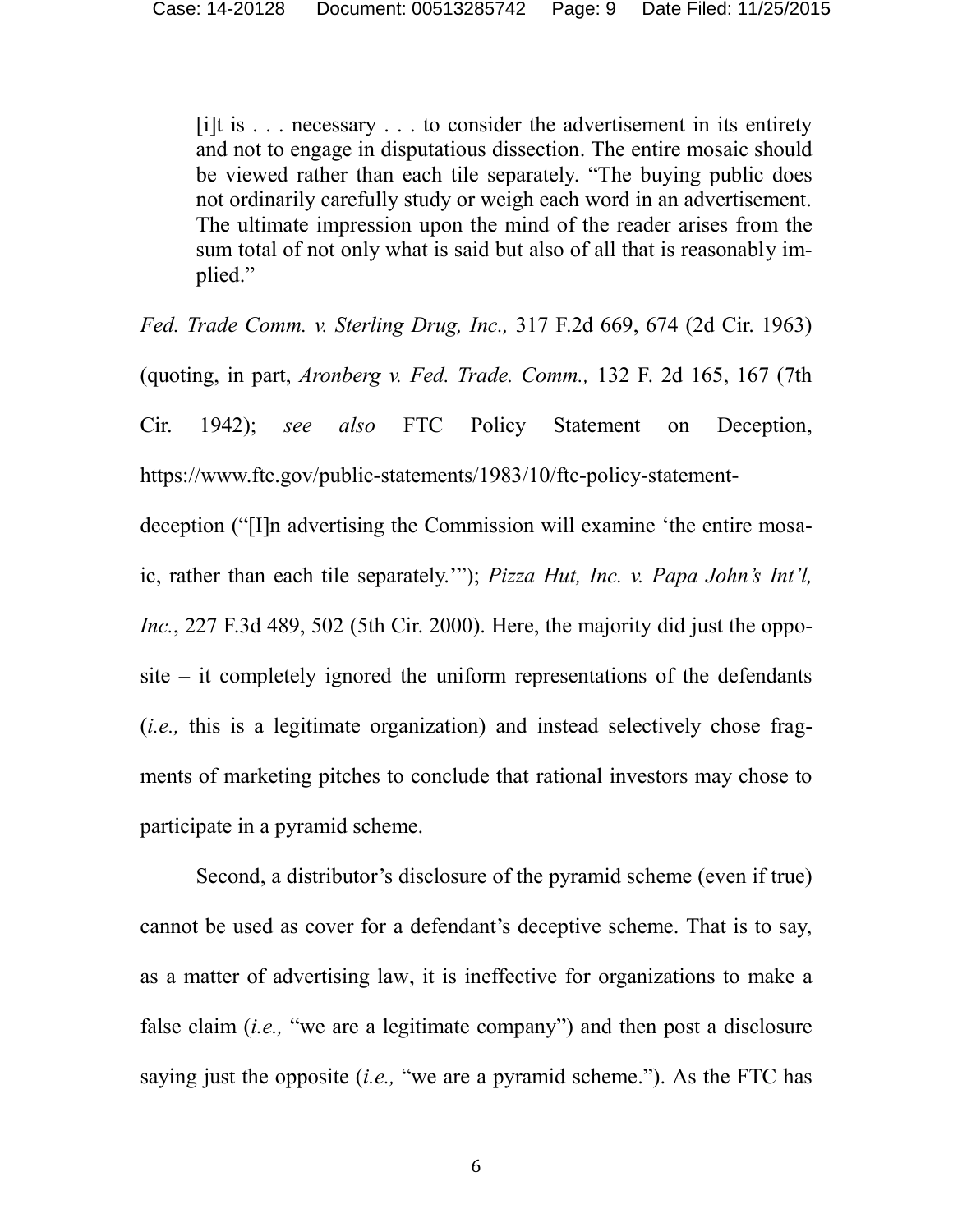$[i]$ t is  $\ldots$  necessary  $\ldots$  to consider the advertisement in its entirety and not to engage in disputatious dissection. The entire mosaic should be viewed rather than each tile separately. "The buying public does not ordinarily carefully study or weigh each word in an advertisement. The ultimate impression upon the mind of the reader arises from the sum total of not only what is said but also of all that is reasonably implied."

<span id="page-8-1"></span><span id="page-8-0"></span>*Fed. Trade Comm. v. Sterling Drug, Inc.,* 317 F.2d 669, 674 (2d Cir. 1963) (quoting, in part, *Aronberg v. Fed. Trade. Comm.,* 132 F. 2d 165, 167 (7th Cir. 1942); *see also* FTC Policy Statement on Deception, [https://www.ftc.gov/public-statements/1983/10/ftc-policy-statement-](https://www.ftc.gov/public-statements/1983/10/ftc-policy-statement-deception)

<span id="page-8-2"></span>[deception](https://www.ftc.gov/public-statements/1983/10/ftc-policy-statement-deception) ("[I]n advertising the Commission will examine 'the entire mosaic, rather than each tile separately.'"); *Pizza Hut, Inc. v. Papa John's Int'l, Inc.*, 227 F.3d 489, 502 (5th Cir. 2000). Here, the majority did just the opposite – it completely ignored the uniform representations of the defendants (*i.e.,* this is a legitimate organization) and instead selectively chose fragments of marketing pitches to conclude that rational investors may chose to participate in a pyramid scheme.

Second, a distributor's disclosure of the pyramid scheme (even if true) cannot be used as cover for a defendant's deceptive scheme. That is to say, as a matter of advertising law, it is ineffective for organizations to make a false claim (*i.e.,* "we are a legitimate company") and then post a disclosure saying just the opposite (*i.e.,* "we are a pyramid scheme."). As the FTC has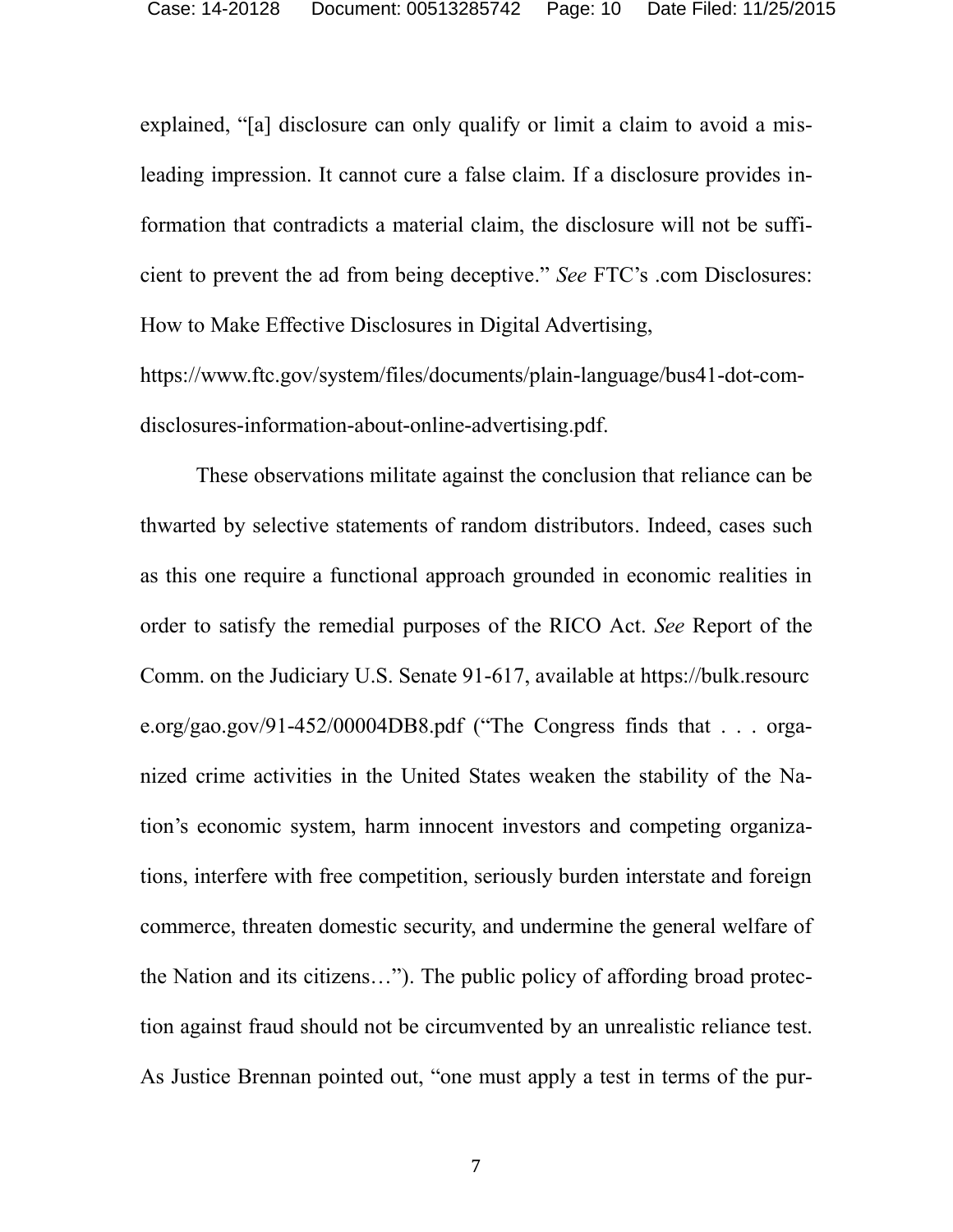explained, "[a] disclosure can only qualify or limit a claim to avoid a misleading impression. It cannot cure a false claim. If a disclosure provides information that contradicts a material claim, the disclosure will not be sufficient to prevent the ad from being deceptive." *See* FTC's .com Disclosures: How to Make Effective Disclosures in Digital Advertising,

https://www.ftc.gov/system/files/documents/plain-language/bus41-dot-comdisclosures-information-about-online-advertising.pdf.

These observations militate against the conclusion that reliance can be thwarted by selective statements of random distributors. Indeed, cases such as this one require a functional approach grounded in economic realities in order to satisfy the remedial purposes of the RICO Act. *See* Report of the Comm. on the Judiciary U.S. Senate 91-617, available at [https://bulk.resourc](https://bulk.resourc/) e.org/gao.gov/91-452/00004DB8.pdf ("The Congress finds that . . . organized crime activities in the United States weaken the stability of the Nation's economic system, harm innocent investors and competing organizations, interfere with free competition, seriously burden interstate and foreign commerce, threaten domestic security, and undermine the general welfare of the Nation and its citizens…"). The public policy of affording broad protection against fraud should not be circumvented by an unrealistic reliance test. As Justice Brennan pointed out, "one must apply a test in terms of the pur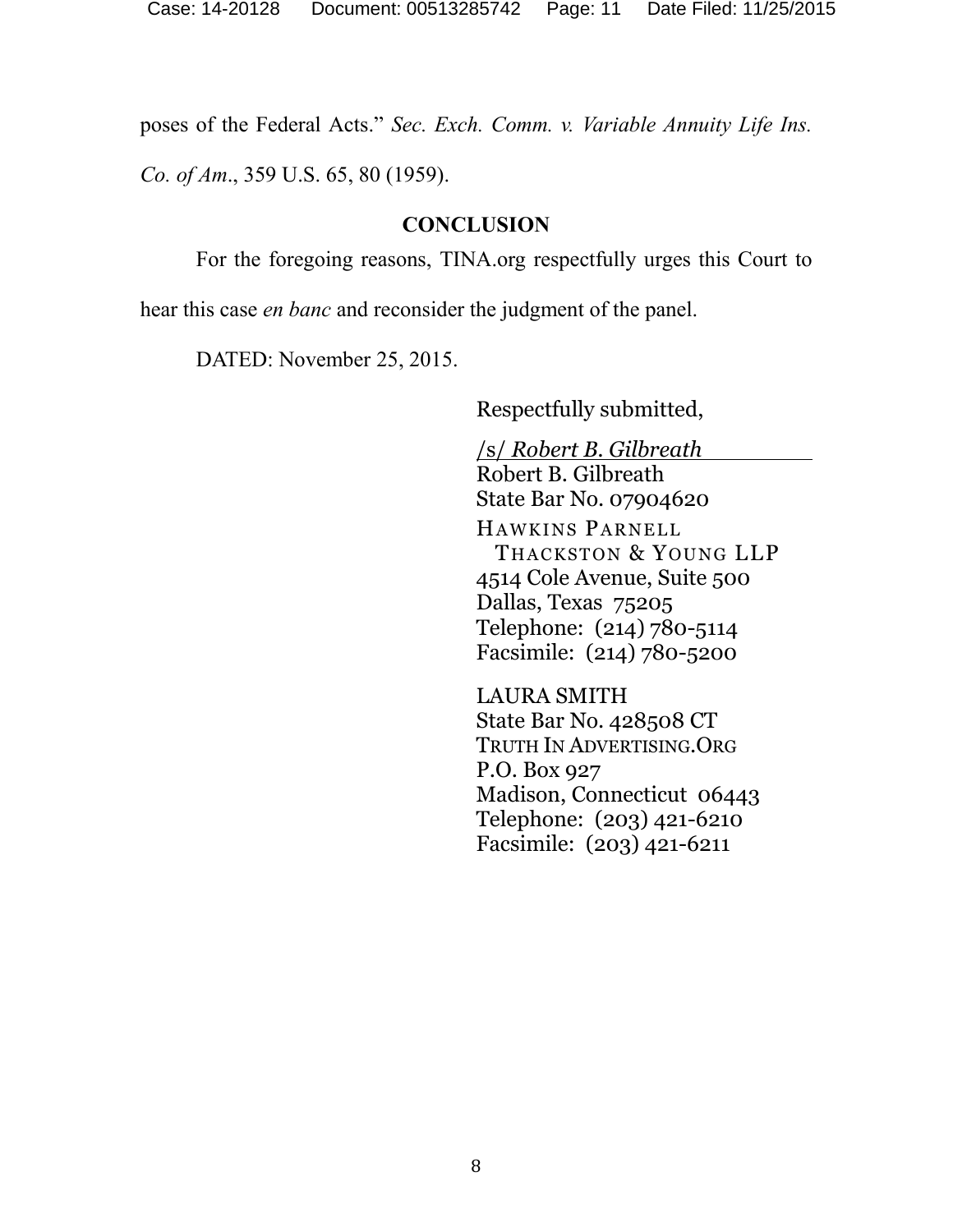poses of the Federal Acts." *Sec. Exch. Comm. v. Variable Annuity Life Ins.*

*Co. of Am*., 359 U.S. 65, 80 (1959).

#### <span id="page-10-0"></span>**CONCLUSION**

For the foregoing reasons, TINA.org respectfully urges this Court to

hear this case *en banc* and reconsider the judgment of the panel.

DATED: November 25, 2015.

Respectfully submitted,

/s/ *Robert B. Gilbreath* Robert B. Gilbreath State Bar No. 07904620 HAWKINS PARNELL THACKSTON & YOUNG LLP 4514 Cole Avenue, Suite 500 Dallas, Texas 75205 Telephone: (214) 780-5114 Facsimile: (214) 780-5200

LAURA SMITH State Bar No. 428508 CT TRUTH IN ADVERTISING.ORG P.O. Box 927 Madison, Connecticut 06443 Telephone: (203) 421-6210 Facsimile: (203) 421-6211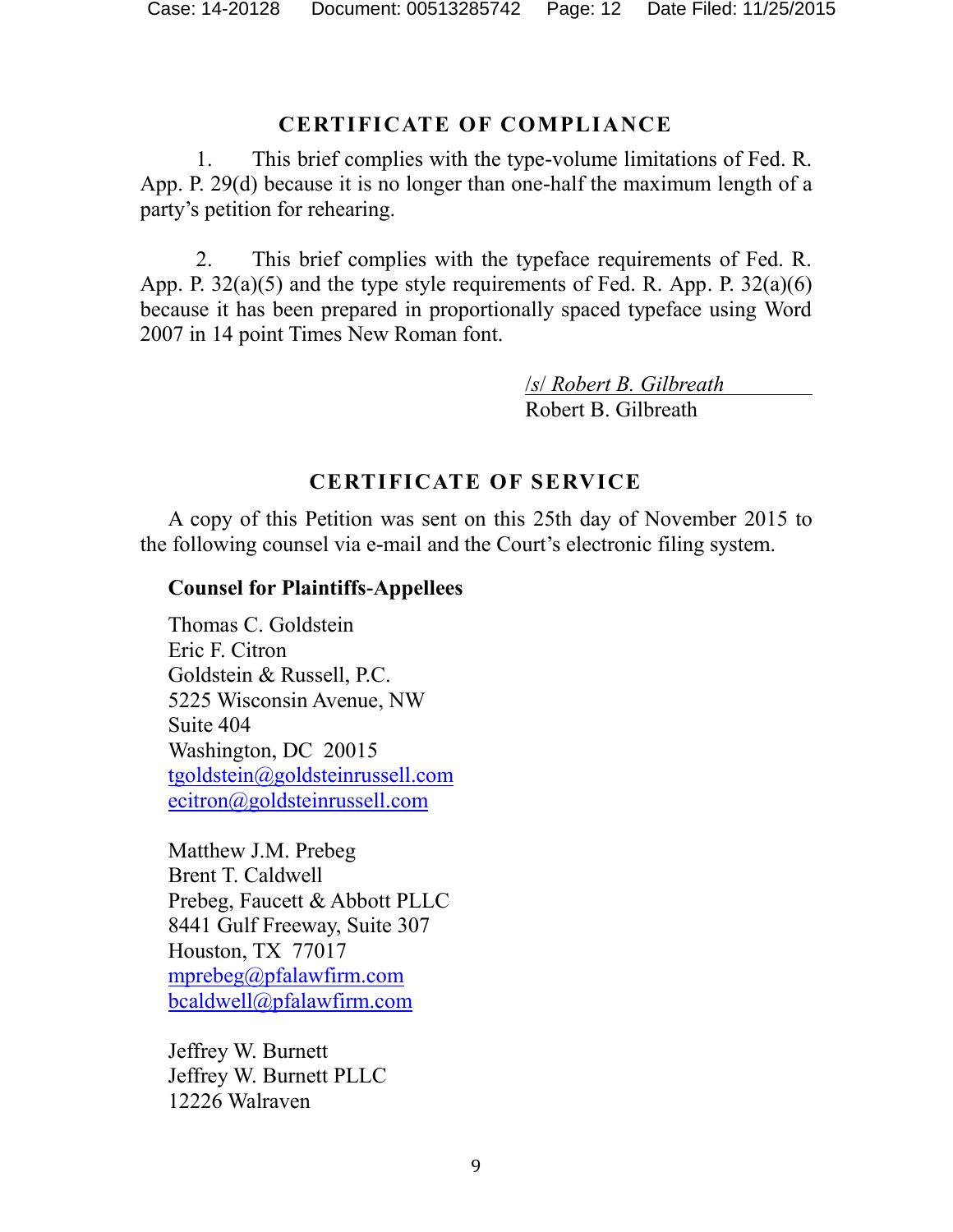#### **CERTIFICATE OF COMPLIANCE**

1. This brief complies with the type-volume limitations of Fed. R. App. P. 29(d) because it is no longer than one-half the maximum length of a party's petition for rehearing.

2. This brief complies with the typeface requirements of Fed. R. App. P.  $32(a)(5)$  and the type style requirements of Fed. R. App. P.  $32(a)(6)$ because it has been prepared in proportionally spaced typeface using Word 2007 in 14 point Times New Roman font.

> /*s*/ *Robert B. Gilbreath* Robert B. Gilbreath

## **CERTIFICATE OF SERVICE**

A copy of this Petition was sent on this 25th day of November 2015 to the following counsel via e-mail and the Court's electronic filing system.

#### **Counsel for Plaintiffs-Appellees**

Thomas C. Goldstein Eric F. Citron Goldstein & Russell, P.C. 5225 Wisconsin Avenue, NW Suite 404 Washington, DC 20015 [tgoldstein@goldsteinrussell.com](mailto:tgoldstein@goldsteinrussell.com) [ecitron@goldsteinrussell.com](mailto:ecitron@goldsteinrussell.com)

Matthew J.M. Prebeg Brent T. Caldwell Prebeg, Faucett & Abbott PLLC 8441 Gulf Freeway, Suite 307 Houston, TX 77017 [mprebeg@pfalawfirm.com](mailto:mprebeg@pfalawfirm.com) [bcaldwell@pfalawfirm.com](mailto:bcaldwell@pfalawfirm.com)

Jeffrey W. Burnett Jeffrey W. Burnett PLLC 12226 Walraven